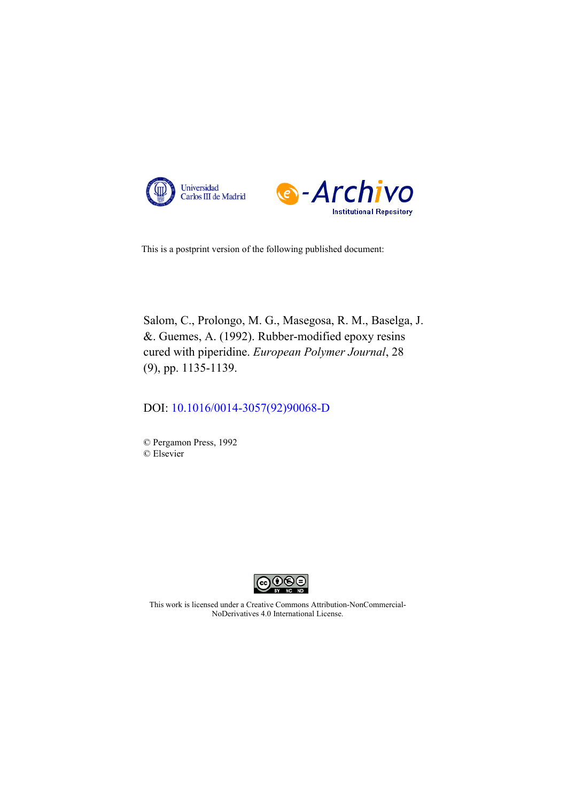



This is a postprint version of the following published document:

Salom, C., Prolongo, M. G., Masegosa, R. M., Baselga, J. &. Guemes, A. (1992). Rubber-modified epoxy resins cured with piperidine. *European Polymer Journal*, 28 (9), pp. 1135-1139.

DOI: [10.1016/0014-3057\(92\)90068-D](https://doi.org/10.1016/0014-3057(92)90068-D)

© Pergamon Press, 1992 © Elsevier



This work is licensed under a Creative Commons Attribution-NonCommercial-NoDerivatives 4.0 International License.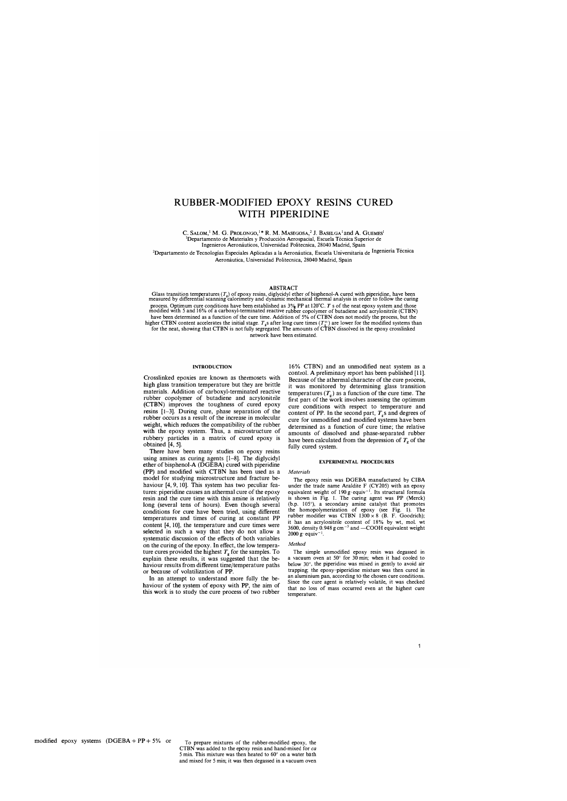# RUBBER-MODIFIED EPOXY RESINS CURED WITH PIPERIDINE

C. SALOM,<sup>1</sup> M. G. PROLONGO,<sup>1</sup>\* R. M. MASEGOSA,<sup>2</sup> J. BASELGA<sup>1</sup> and A. GUEMES<sup>1</sup> Departamento de Materiales y Producción Aerospacial, Escuela Técnica Superior de Ingenieros Aeronáuticos, Universidad Politecnica, 28040 Madrid, Spain

<sup>2</sup>Departamento de Tecnologías Especiales Aplicadas a la Aeronáutica, Escuela Universitaria de Ingeniería Técnica Aeronáutica, Universidad Politecnica, 28040 Madrid, Spain

# **ABSTRACT**

Glass transition temperatures  $(T_e)$  of epoxy resins, diglycidyl ether of bisphenol-A cured with piperidine, have been<br>measured by differential scanning calorimetry and dynamic mechanical thermal analysis in order to follo process. Optimum cure conditions have been established as  $3\%$  PP at 120°C. T s of the neat epoxy system and those modified with 5 and 16% of a carboxyl-terminated reactive rubber copolymer of butadiene and acrylonitrile have been determined as a function of the cure time. Addition of 5% of CTBN does not modify the process, but the higher CTBN content accelerates the initial stage.  $T_g$ s after long cure times  $(T_g^{\infty})$  are lower for the modified systems than for the neat, showing that CTBN is not fully segregated. The amounts of CTBN dissolved in th network have been estimated.

#### **INTRODUCTION**

Crosslinked epoxies are known as thermosets with high glass transition temperature but they are brittle materials. Addition of carboxyl-terminated reactive rubber copolymer of butadiene and acrylonitrile **(CTBN)** improves the toughness of cured epoxy resins [1-3]. During cure, phase separation of the rubber occurs as a result of the increase in molecular weight, which reduces the compatibility of the rubber with the epoxy system. Thus, a microstructure of rubbery particles in a matrix of cured epoxy is obtained [4, 5].

There have been many studies on epoxy resins using amines as curing agents [1-8]. The diglycidyl ether of bisphenol-A (DGEBA) cured with piperidine **(PP)** and modified with **CTBN** has been used as a model for studying microstructure and fracture behaviour [4, 9, JO]. This system has two peculiar features: piperidine causes an athermal cure of the epoxy resin and the cure time with this amine is relatively long (several tens of hours). Even though several conditions for cure have been tried, using different temperatures and times of curing at constant **PP** content [4, 10], the temperature and cure times were selected in such a way that they do not allow a systematic discussion of the effects of both variables on the curing of the epoxy. In effect, the low temperature cures provided the highest  $T<sub>g</sub>$  for the samples. To explain these results, it was suggested that the behaviour results from different time/temperature paths or because of volatilization of **PP.**

In an attempt to understand more fully the behaviour of the system of epoxy with **PP,** the aim of this work is to study the cure process of two rubber 16% CTBN) and an unmodified neat system as a control. **A** preliminary report has been published [11]. Because of the athermal character of the cure process, it was monitored by determining glass transition temperatures  $(T_g)$  as a function of the cure time. The first part of the work involves assessing the optimum cure conditions with respect to temperature and content of PP. In the second part,  $T_{\rm g}$ s and degrees of cure for unmodified and modified systems have been determined as a function of cure time; the relative amounts of dissolved and phase-separated rubber have been calculated from the depression of  $T<sub>g</sub>$  of the fully cured system.

#### **EXPERIMENTAL PROCEDURES**

#### *Materials*

The epoxy resin was DGEBA manufactured by CIBA under the trade name Araldite F (CY205) with an epoxy equivalent weight of 190 g·equiv<sup>-1</sup>. Its structural formula is shown in Fig. I. The curing agent was PP (Merck) (b.p. 105 ° ), a secondary amine catalyst that promotes the homopolymerization of epoxy (see Fig. I). The rubber modifier was CTBN  $1300 \times 8$  (B. F. Goodrich); it has an acrylonitrile content of  $18\%$  by wt, mol. wt 3600, density 0.948 g cm<sup>-3</sup> and —COOH equivalent weight  $2000 \text{ g} \cdot \text{equiv}^{-1}$ .

#### *Method*

The simple unmodified epoxy resin was degassed in a vacuum oven at 50° for 30 min; when it had cooled to below 30° , the piperidine was mixed in gently to avoid air trapping; the epoxy-piperidine mixture was then cured in an aluminium pan, according to the chosen cure conditions. Since the cure agent is relatively volatile, it was checked that no loss of mass occurred even at the highest cure temperature.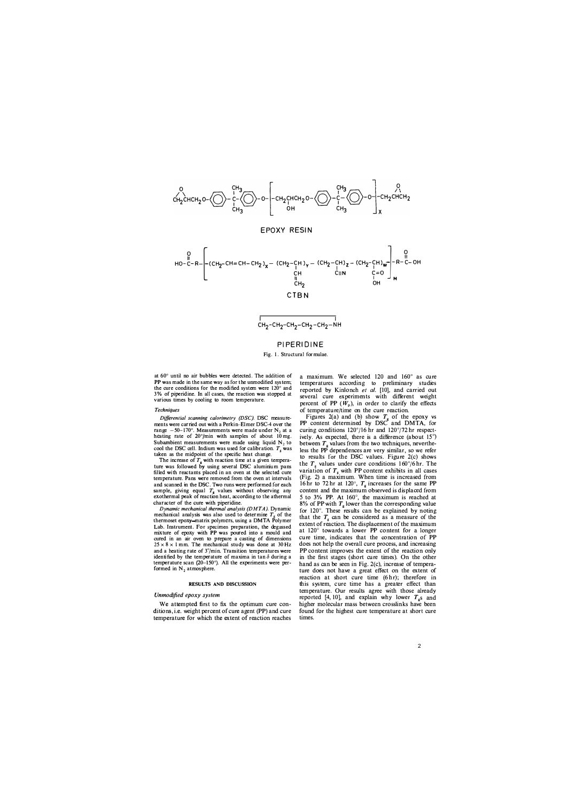

# **PIPERIDINE**

## Fig. 1. Structural formulae.

at 60° until no air bubbles were detected. The addition of **PP** was made in the same way as for the unmodified system; the cure conditions for the modified system were 120° and 3% of piperidine. In all cases, the reaction was stopped at various times by cooling to room temperature.

## *Techniques*

*Differential scanning calorimetry (DSC).* DSC measurements were carried out with a Perkin-Elmer DSC-4 over the range  $-50-170^\circ$ . Measurements were made under  $N_2$  at a heating rate of  $20^{\circ}/\text{min}$  with samples of about 10 mg. Subambient measurements were made using liquid  $N<sub>2</sub>$  to cool the DSC cell. Indium was used for calibration.  $T_{g}$  was taken as the midpoint of the specific heat change.

The increase of  $T_g$  with reaction time at a given temperature was followed by using several DSC aluminium pans filled with reactants placed in an oven at the selected cure temperature. Pans were removed from the oven at intervals and scanned in the DSC. Two runs were performed for each sample, giving equal  $T<sub>g</sub>$  values without observing any exothermal peak of reaction heat, according to the athermal character of the cure with piperidine.

*Dynamic mechanical thermal analysis (DMTA).* Dynamic mechanical analysis was also used to determine  $T<sub>g</sub>$  of the thermoset epoxy-matrix polymers, using a DMTA Polymer Lab. Instrument. For specimen preparation, the degassed mixture of epoxy with **PP** was poured into a mould and cured in an air oven to prepare a casting of dimensions  $25 \times 8 \times 1$  mm. The mechanical study was done at 30 Hz and a heating rate of  $3^{\circ}/\text{min}$ . Transition temperatures were identified by the temperature of maxima in tan  $\delta$  during a temperature scan (20-150° ). **All** the experiments were performed in  $N_2$  atmosphere.

## **RESULTS AND DISCUSSION**

# *Unmodified epoxy system*

We attempted first to fix the optimum cure conditions, i.e. weight percent of cure agent (PP) and cure temperature for which the extent of reaction reaches

a maximum. We selected 120 and 160° as cure temperatures according to preliminary studies reported by Kinlonch *et al.* [10), and carried out several cure experiments with different weight percent of PP  $(W_p)$ , in order to clarify the effects of temperature/time on the cure reaction.

Figures 2(a) and (b) show  $T_g$  of the epoxy vs PP content determined by DSC and DMTA, for curing conditions 120° /l6 hr and 120° /72 hr respectively. As expected, there is a difference (about  $15^\circ$ ) between  $T_{g}$  values from the two techniques, nevertheless the PP dependences are very similar, so we refer to results for the DSC values. Figure 2(c) shows the  $T_{g}$  values under cure conditions 160°/6 hr. The variation of  $T<sub>g</sub>$  with PP content exhibits in all cases (Fig. 2) a maximum. When time is increased from 16 hr to 72 hr at 120°,  $T_g$  increases for the same PP content and the maximum observed is displaced from 5 to 3% **PP.** At 160° , the maximum is reached at 8% of PP with  $T<sub>e</sub>$  lower than the corresponding value for 120°. These results can be explained by noting that the  $T_{g}$  can be considered as a measure of the extent of reaction. The displacement of the maximum at 120° towards a lower **PP** content for a longer cure time, indicates that the concentration of **PP** does not help the overall cure process, and increasing **PP** content improves the extent of the reaction only in the first stages (short cure times). On the other hand as can be seen in Fig. 2(c), increase of temperature does not have a great effect on the extent of reaction at short cure time (6 hr); therefore in this system, cure time has a greater effect than temperature. Our results agree with those already reported [4, 10], and explain why lower  $T_{\rm g}$ s and higher molecular mass between crosslinks have been found for the highest cure temperature at short cure times.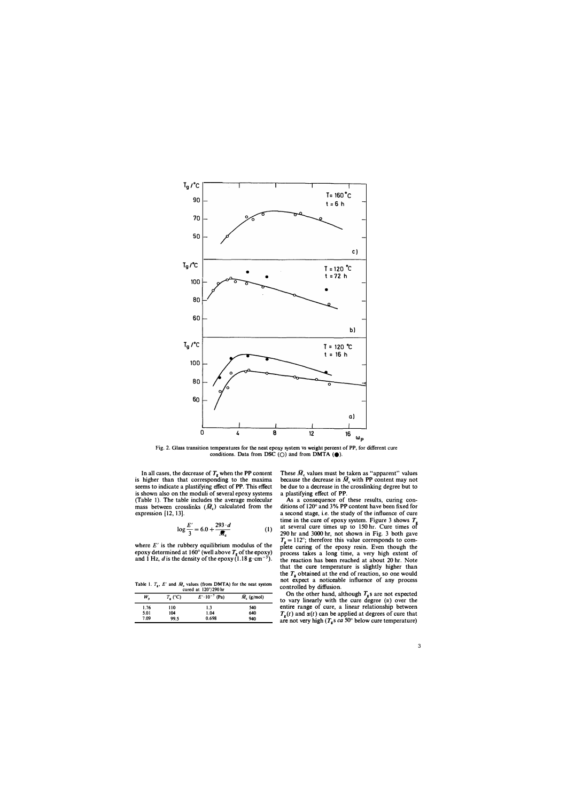

**Fig. 2. Glass transition temperatures for the neat epoxy system vs weight percent of PP, for different cure**  conditions. Data from DSC  $(\bigcirc)$  and from DMTA  $(\bigcirc)$ .

In all cases, the decrease of  $T_g$  when the PP content **is higher than that corresponding to the maxima seems to indicate a plastifying effect of PP. This effect is shown also on the moduli of several epoxy systems (Table I). The table includes the average molecular**  mass between crosslinks  $(\bar{M}_c)$  calculated from the **expression** (12, **13].** 

$$
\log \frac{E'}{3} = 6.0 + \frac{293 \cdot d}{\bar{M}_c} \tag{1}
$$

where  $E'$  is the rubbery equilibrium modulus of the epoxy determined at  $160^\circ$  (well above  $T<sub>e</sub>$  of the epoxy) and 1 Hz, *d* is the density of the epoxy  $(1.18 \text{ g} \cdot \text{cm}^{-3})$ .

**Table 1.**  $T_g$ ,  $E'$  and  $\overline{M}_c$  values (from DMTA) for the neat system cured at 120°/290 hr

| $C$ urea at 120 / 270 m |                  |                         |                     |  |  |
|-------------------------|------------------|-------------------------|---------------------|--|--|
| $W_{\rm n}$             | $T_{\rm g}$ (°C) | $E' \cdot 10^{-7}$ (Pa) | $\bar{M}_c$ (g/mol) |  |  |
| 1.76                    | 110              | 1.3                     | 540                 |  |  |
| 5.01                    | 104              | 1.04                    | 640                 |  |  |
| 7.09                    | 99.5             | 0.698                   | 940                 |  |  |

These  $\bar{M}_c$  values must be taken as "apparent" values because the decrease in  $\overline{M}_c$  with PP content may not **be due to a decrease in the crosslinking degree but to a plastifying effect of PP.** 

**As a consequence of these results, curing conditions of** 120° **and 3% PP content have been fixed for a second stage, i.e. the study of the influence of cure time in the cure of epoxy system. Figure 3 shows T***<sup>8</sup>* **at several cure times up to** 150 **hr. Cure times of**  290 **hr and** 3000 **hr, not shown in Fig.** 3 **both gave**   $T_g = 112^\circ$ ; therefore this value corresponds to com**plete curing of the epoxy resin. Even though the process takes a long time, a very high extent of the reaction has been reached at about** 20 **hr. Note that the cure temperature is slightly higher than**  the  $T<sub>g</sub>$  obtained at the end of reaction, so one would **not expect a noticeable influence of any process controlled by diffusion.** 

On the other hand, although  $T_g$ s are not expected to vary linearly with the cure degree  $(\alpha)$  over the **entire range of cure, a linear relationship between**   $T_g(t)$  and  $\alpha(t)$  can be applied at degrees of cure that **are not very high** *(T<sup>8</sup> s ea* 50° **below cure temperature)**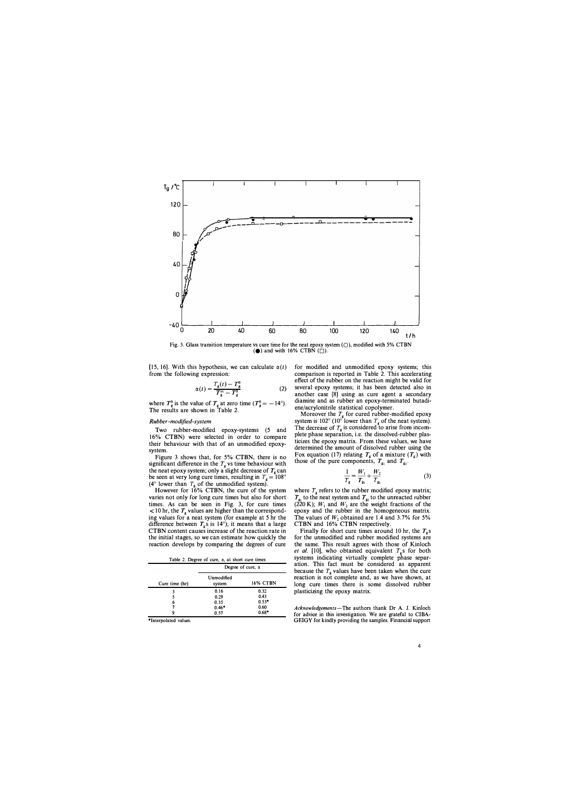

Fig. 3. Glass transition temperature vs cure time for the neat epoxy system **(0),** modified with 5% **CTBN** (e) and with 16% **CTBN (D).**

[15, 16]. With this hypothesis, we can calculate  $\alpha(t)$ from the following expression:

$$
\alpha(t) = \frac{T_g(t) - T_g^0}{T_g^{\infty} - T_g^0}
$$
 (2)

where  $T_{g}^{0}$  is the value of  $T_{g}$  at zero time  $(T_{g}^{0} = -14^{\circ})$ . The results are shown in Table 2.

# *Rubber -modified-system*

Two rubber-modified epoxy-systems (5 and 16% CTBN) were selected in order to compare their behaviour with that of an unmodified epoxysystem.

Figure 3 shows that, for 5% CTBN, there is no significant difference in the  $T_g$  vs time behaviour with the neat epoxy system; only a slight decrease of  $T_g$  can be seen at very long cure times, resulting in  $T<sub>g</sub> = 108^{\circ}$ ( $4^\circ$  lower than  $T_g$  of the unmodified system).

However for 16% **CTBN,** the cure of the system varies not only for long cure times but also for short times. As can **be** seen in Fig. 3, for cure times  $<$  10 hr, the  $T_g$  values are higher than the corresponding values for a neat system (for example at 5 hr the difference between  $T_g$ s is  $14^{\circ}$ ); it means that a large CTBN content causes increase of the reaction rate in the initial stages, so we can estimate how quickly the reaction develops by comparing the degrees of cure

| Table 2. Degree of cure, $\alpha$ , at short cure times |  |  |
|---------------------------------------------------------|--|--|
|---------------------------------------------------------|--|--|

|                | Degree of cure, $\alpha$ |          |  |
|----------------|--------------------------|----------|--|
| Cure time (hr) | Unmodified<br>system     | 16% CTBN |  |
|                | 0.16                     | 0.32     |  |
|                | 0.29                     | 0.43     |  |
| 6              | 0.35                     | $0.53*$  |  |
|                | $0.46*$                  | 0.60     |  |
|                | 0.57                     | $0.68*$  |  |

\*Interpolated values.

for modified and unmodified epoxy systems; this comparison is reported in Table 2. This accelerating effect of the rubber on the reaction might be valid for several epoxy systems; it has been detected also in another case [8) using as cure agent a secondary diamine and as rubber an epoxy-terminated butadiene/acrylonitrile statistical copolymer.

Moreover the  $T_g$  for cured rubber-modified epoxy system is 102° (10° lower than  $T_g$  of the neat system). The decrease of  $T_g$  is considered to arise from incomplete phase separation, i.e. the dissolved-rubber plasticizes the epoxy matrix. From these values, we have determined the amount of dissolved rubber using the Fox equation (17) relating  $T_g$  of a mixture  $(T_g)$  with those of the pure components,  $T_{\rm g1}$  and  $T_{\rm g2}$ .

$$
\frac{1}{T_{\rm g}} = \frac{W_1}{T_{\rm g_1}} + \frac{W_2}{T_{\rm g_2}}\tag{3}
$$

where  $T<sub>g</sub>$  refers to the rubber modified epoxy matrix;  $T_{\rm g_1}$  to the neat system and  $T_{\rm g_2}$  to the unreacted rubber (220 K);  $W_1$  and  $W_2$  are the weight fractions of the epoxy and the rubber in the homogeneous matrix. The values of  $W_2$  obtained are 1.4 and 3.7% for 5% **CTBN** and 16% **CTBN** respectively.

Finally for short cure times around 10 hr, the  $T_{\rm g}$  s for the unmodified and rubber modified systems are the same. This result agrees with those of Kinloch *et al.* [10], who obtained equivalent  $T_g$ s for both systems indicating virtually complete phase separation. This fact must be considered as apparent because the  $T<sub>g</sub>$  values have been taken when the cure reaction is not complete and, as we have shown, at long cure times there is some dissolved rubber plasticizing the epoxy matrix.

*Acknowledgements-The* authors thank Dr **A.** J. Kinloch for advice in this investigation. We are grateful to **CIBA-**GEIGY for kindly providing the samples. Financial support